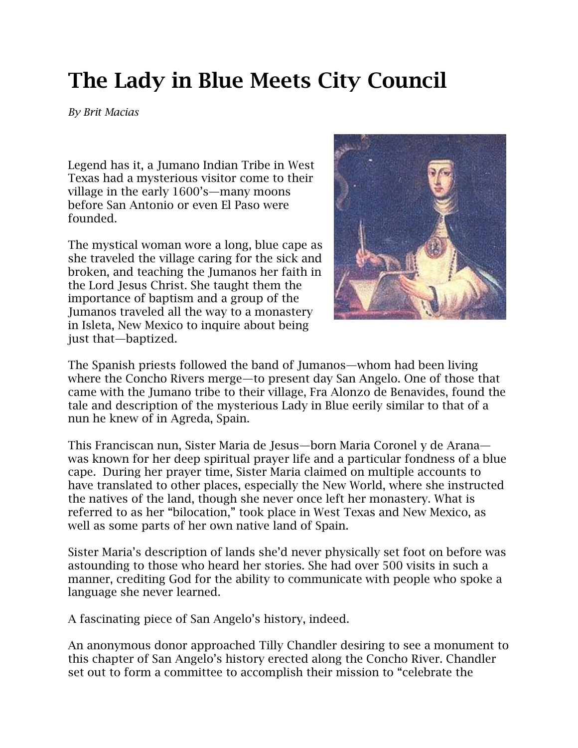## **The Lady in Blue Meets City Council**

*By Brit Macias*

Legend has it, a Jumano Indian Tribe in West Texas had a mysterious visitor come to their village in the early 1600's—many moons before San Antonio or even El Paso were founded.

The mystical woman wore a long, blue cape as she traveled the village caring for the sick and broken, and teaching the Jumanos her faith in the Lord Jesus Christ. She taught them the importance of baptism and a group of the Jumanos traveled all the way to a monastery in Isleta, New Mexico to inquire about being just that—baptized.



The Spanish priests followed the band of Jumanos—whom had been living where the Concho Rivers merge—to present day San Angelo. One of those that came with the Jumano tribe to their village, Fra Alonzo de Benavides, found the tale and description of the mysterious Lady in Blue eerily similar to that of a nun he knew of in Agreda, Spain.

This Franciscan nun, Sister Maria de Jesus—born Maria Coronel y de Arana was known for her deep spiritual prayer life and a particular fondness of a blue cape. During her prayer time, Sister Maria claimed on multiple accounts to have translated to other places, especially the New World, where she instructed the natives of the land, though she never once left her monastery. What is referred to as her "bilocation," took place in West Texas and New Mexico, as well as some parts of her own native land of Spain.

Sister Maria's description of lands she'd never physically set foot on before was astounding to those who heard her stories. She had over 500 visits in such a manner, crediting God for the ability to communicate with people who spoke a language she never learned.

A fascinating piece of San Angelo's history, indeed.

An anonymous donor approached Tilly Chandler desiring to see a monument to this chapter of San Angelo's history erected along the Concho River. Chandler set out to form a committee to accomplish their mission to "celebrate the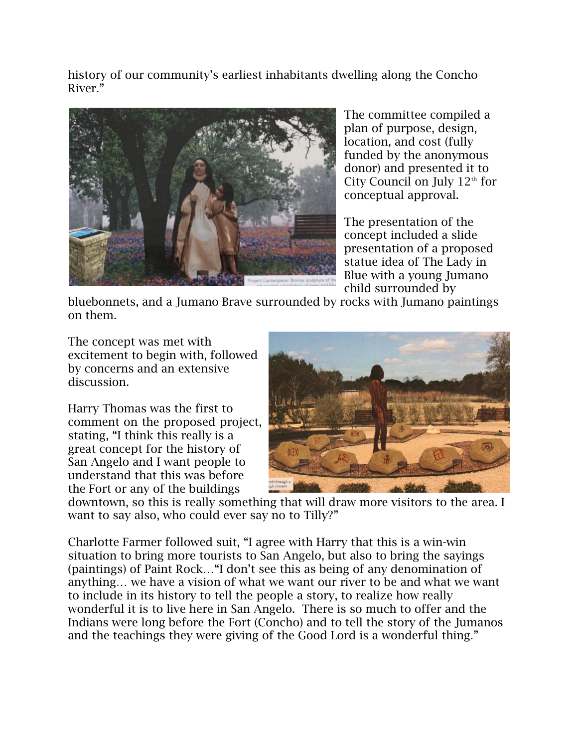history of our community's earliest inhabitants dwelling along the Concho River."



The committee compiled a plan of purpose, design, location, and cost (fully funded by the anonymous donor) and presented it to City Council on July  $12<sup>th</sup>$  for conceptual approval.

The presentation of the concept included a slide presentation of a proposed statue idea of The Lady in Blue with a young Jumano child surrounded by

bluebonnets, and a Jumano Brave surrounded by rocks with Jumano paintings on them.

The concept was met with excitement to begin with, followed by concerns and an extensive discussion.

Harry Thomas was the first to comment on the proposed project, stating, "I think this really is a great concept for the history of San Angelo and I want people to understand that this was before the Fort or any of the buildings



downtown, so this is really something that will draw more visitors to the area. I want to say also, who could ever say no to Tilly?"

Charlotte Farmer followed suit, "I agree with Harry that this is a win-win situation to bring more tourists to San Angelo, but also to bring the sayings (paintings) of Paint Rock…"I don't see this as being of any denomination of anything… we have a vision of what we want our river to be and what we want to include in its history to tell the people a story, to realize how really wonderful it is to live here in San Angelo. There is so much to offer and the Indians were long before the Fort (Concho) and to tell the story of the Jumanos and the teachings they were giving of the Good Lord is a wonderful thing."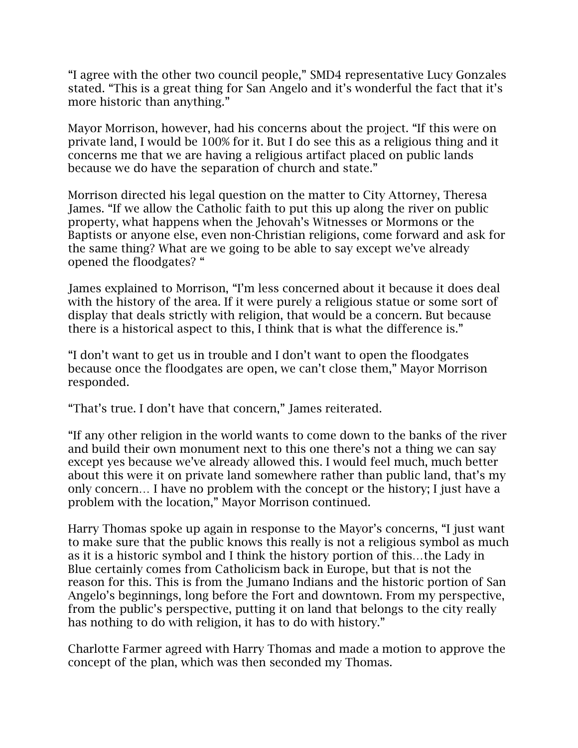"I agree with the other two council people," SMD4 representative Lucy Gonzales stated. "This is a great thing for San Angelo and it's wonderful the fact that it's more historic than anything."

Mayor Morrison, however, had his concerns about the project. "If this were on private land, I would be 100% for it. But I do see this as a religious thing and it concerns me that we are having a religious artifact placed on public lands because we do have the separation of church and state."

Morrison directed his legal question on the matter to City Attorney, Theresa James. "If we allow the Catholic faith to put this up along the river on public property, what happens when the Jehovah's Witnesses or Mormons or the Baptists or anyone else, even non-Christian religions, come forward and ask for the same thing? What are we going to be able to say except we've already opened the floodgates? "

James explained to Morrison, "I'm less concerned about it because it does deal with the history of the area. If it were purely a religious statue or some sort of display that deals strictly with religion, that would be a concern. But because there is a historical aspect to this, I think that is what the difference is."

"I don't want to get us in trouble and I don't want to open the floodgates because once the floodgates are open, we can't close them," Mayor Morrison responded.

"That's true. I don't have that concern," James reiterated.

"If any other religion in the world wants to come down to the banks of the river and build their own monument next to this one there's not a thing we can say except yes because we've already allowed this. I would feel much, much better about this were it on private land somewhere rather than public land, that's my only concern… I have no problem with the concept or the history; I just have a problem with the location," Mayor Morrison continued.

Harry Thomas spoke up again in response to the Mayor's concerns, "I just want to make sure that the public knows this really is not a religious symbol as much as it is a historic symbol and I think the history portion of this…the Lady in Blue certainly comes from Catholicism back in Europe, but that is not the reason for this. This is from the Jumano Indians and the historic portion of San Angelo's beginnings, long before the Fort and downtown. From my perspective, from the public's perspective, putting it on land that belongs to the city really has nothing to do with religion, it has to do with history."

Charlotte Farmer agreed with Harry Thomas and made a motion to approve the concept of the plan, which was then seconded my Thomas.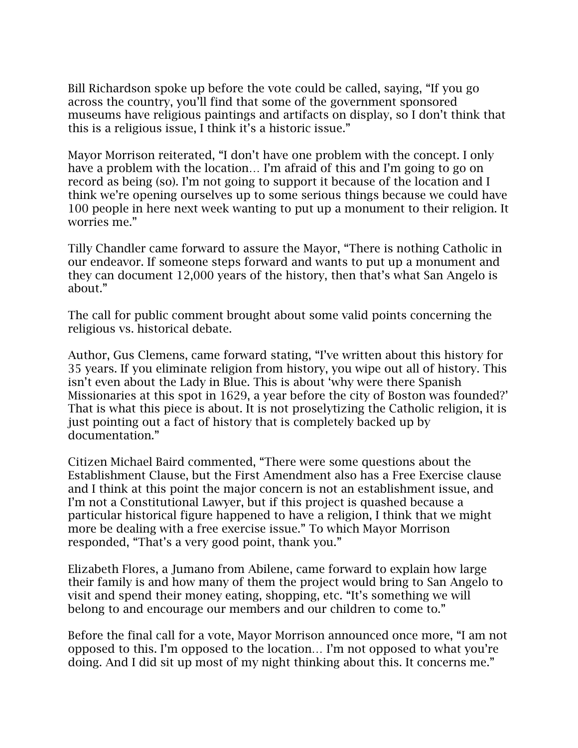Bill Richardson spoke up before the vote could be called, saying, "If you go across the country, you'll find that some of the government sponsored museums have religious paintings and artifacts on display, so I don't think that this is a religious issue, I think it's a historic issue."

Mayor Morrison reiterated, "I don't have one problem with the concept. I only have a problem with the location… I'm afraid of this and I'm going to go on record as being (so). I'm not going to support it because of the location and I think we're opening ourselves up to some serious things because we could have 100 people in here next week wanting to put up a monument to their religion. It worries me."

Tilly Chandler came forward to assure the Mayor, "There is nothing Catholic in our endeavor. If someone steps forward and wants to put up a monument and they can document 12,000 years of the history, then that's what San Angelo is about."

The call for public comment brought about some valid points concerning the religious vs. historical debate.

Author, Gus Clemens, came forward stating, "I've written about this history for 35 years. If you eliminate religion from history, you wipe out all of history. This isn't even about the Lady in Blue. This is about 'why were there Spanish Missionaries at this spot in 1629, a year before the city of Boston was founded?' That is what this piece is about. It is not proselytizing the Catholic religion, it is just pointing out a fact of history that is completely backed up by documentation."

Citizen Michael Baird commented, "There were some questions about the Establishment Clause, but the First Amendment also has a Free Exercise clause and I think at this point the major concern is not an establishment issue, and I'm not a Constitutional Lawyer, but if this project is quashed because a particular historical figure happened to have a religion, I think that we might more be dealing with a free exercise issue." To which Mayor Morrison responded, "That's a very good point, thank you."

Elizabeth Flores, a Jumano from Abilene, came forward to explain how large their family is and how many of them the project would bring to San Angelo to visit and spend their money eating, shopping, etc. "It's something we will belong to and encourage our members and our children to come to."

Before the final call for a vote, Mayor Morrison announced once more, "I am not opposed to this. I'm opposed to the location… I'm not opposed to what you're doing. And I did sit up most of my night thinking about this. It concerns me."